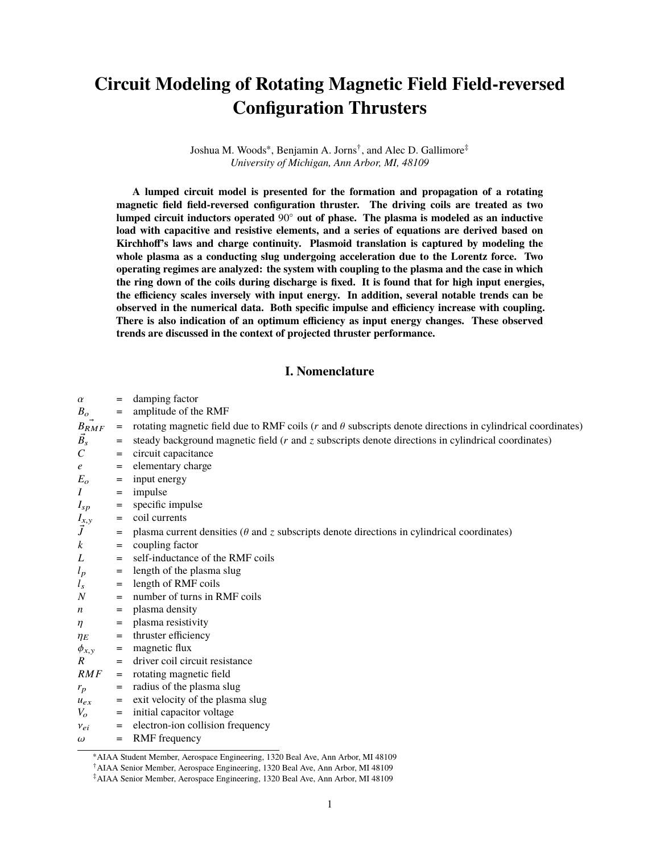# **Circuit Modeling of Rotating Magnetic Field Field-reversed Configuration Thrusters**

Joshua M. Woods<sup>∗</sup> , Benjamin A. Jorns† , and Alec D. Gallimore‡ *University of Michigan, Ann Arbor, MI, 48109*

**A lumped circuit model is presented for the formation and propagation of a rotating magnetic field field-reversed configuration thruster. The driving coils are treated as two lumped circuit inductors operated** 90◦ **out of phase. The plasma is modeled as an inductive load with capacitive and resistive elements, and a series of equations are derived based on Kirchhoff's laws and charge continuity. Plasmoid translation is captured by modeling the whole plasma as a conducting slug undergoing acceleration due to the Lorentz force. Two operating regimes are analyzed: the system with coupling to the plasma and the case in which the ring down of the coils during discharge is fixed. It is found that for high input energies, the efficiency scales inversely with input energy. In addition, several notable trends can be observed in the numerical data. Both specific impulse and efficiency increase with coupling. There is also indication of an optimum efficiency as input energy changes. These observed trends are discussed in the context of projected thruster performance.**

## **I. Nomenclature**

| $\alpha$                  | $=$      | damping factor                                                                                                       |
|---------------------------|----------|----------------------------------------------------------------------------------------------------------------------|
| $B_o$                     | =        | amplitude of the RMF                                                                                                 |
| $B_{RMF}$                 | $=$      | rotating magnetic field due to RMF coils ( $r$ and $\theta$ subscripts denote directions in cylindrical coordinates) |
| $\vec{B_s}$               | =        | steady background magnetic field $(r$ and $z$ subscripts denote directions in cylindrical coordinates)               |
| $\mathcal{C}_{0}^{0}$     | $=$      | circuit capacitance                                                                                                  |
| $\epsilon$                | $=$      | elementary charge                                                                                                    |
| $E_{o}$                   |          | input energy                                                                                                         |
| $\boldsymbol{I}$          | $=$      | impulse                                                                                                              |
|                           | =        | specific impulse                                                                                                     |
| $I_{sp}$                  | $=$<br>= | coil currents                                                                                                        |
| $\frac{I_{x,y}}{\vec{J}}$ |          |                                                                                                                      |
| $\boldsymbol{k}$          | $=$      | plasma current densities ( $\theta$ and $z$ subscripts denote directions in cylindrical coordinates)                 |
| L                         | =        | coupling factor<br>self-inductance of the RMF coils                                                                  |
|                           | $=$      |                                                                                                                      |
| $l_p$                     | $=$      | length of the plasma slug                                                                                            |
| $l_{s}$<br>$\overline{N}$ | =        | length of RMF coils                                                                                                  |
|                           | $=$      | number of turns in RMF coils                                                                                         |
| n                         | $=$      | plasma density                                                                                                       |
| $\eta$                    | =        | plasma resistivity                                                                                                   |
| $\eta_E$                  | =        | thruster efficiency                                                                                                  |
| $\phi_{x,y}$              | $=$      | magnetic flux                                                                                                        |
| R                         | $=$      | driver coil circuit resistance                                                                                       |
| RMF                       | $=$      | rotating magnetic field                                                                                              |
| $r_p$                     | =        | radius of the plasma slug                                                                                            |
| $u_{ex}$                  | =        | exit velocity of the plasma slug                                                                                     |
| $V_o$                     | $=$      | initial capacitor voltage                                                                                            |
| $v_{ei}$                  | =        | electron-ion collision frequency                                                                                     |
| $\omega$                  | $=$      | RMF frequency                                                                                                        |

<sup>∗</sup>AIAA Student Member, Aerospace Engineering, 1320 Beal Ave, Ann Arbor, MI 48109

<sup>†</sup>AIAA Senior Member, Aerospace Engineering, 1320 Beal Ave, Ann Arbor, MI 48109

<sup>‡</sup>AIAA Senior Member, Aerospace Engineering, 1320 Beal Ave, Ann Arbor, MI 48109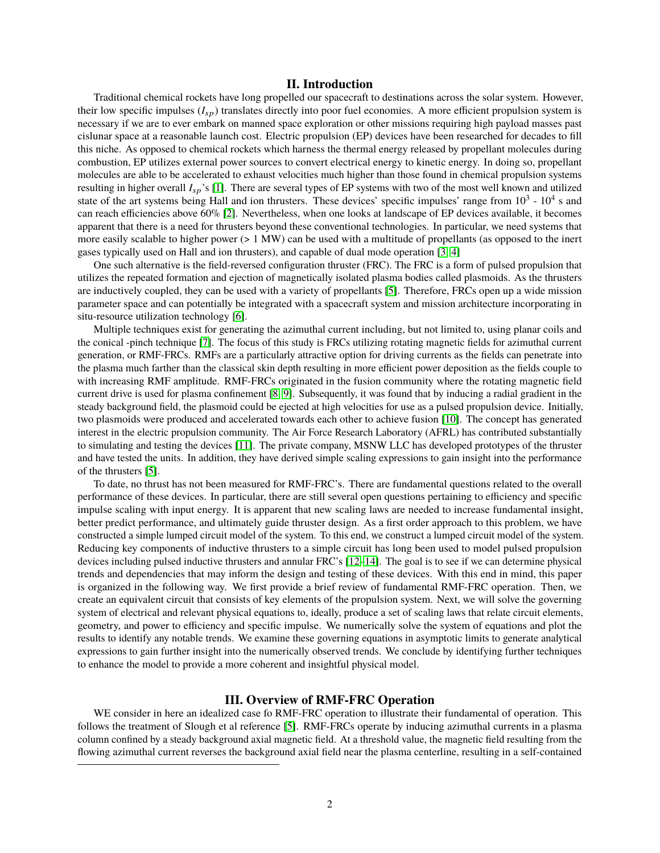# **II. Introduction**

Traditional chemical rockets have long propelled our spacecraft to destinations across the solar system. However, their low specific impulses (*I*sp) translates directly into poor fuel economies. A more efficient propulsion system is necessary if we are to ever embark on manned space exploration or other missions requiring high payload masses past cislunar space at a reasonable launch cost. Electric propulsion (EP) devices have been researched for decades to fill this niche. As opposed to chemical rockets which harness the thermal energy released by propellant molecules during combustion, EP utilizes external power sources to convert electrical energy to kinetic energy. In doing so, propellant molecules are able to be accelerated to exhaust velocities much higher than those found in chemical propulsion systems resulting in higher overall *I*sp's [\[1\]](#page-9-0). There are several types of EP systems with two of the most well known and utilized state of the art systems being Hall and ion thrusters. These devices' specific impulses' range from  $10^3$  -  $10^4$  s and can reach efficiencies above 60% [\[2\]](#page-9-1). Nevertheless, when one looks at landscape of EP devices available, it becomes apparent that there is a need for thrusters beyond these conventional technologies. In particular, we need systems that more easily scalable to higher power (> 1 MW) can be used with a multitude of propellants (as opposed to the inert gases typically used on Hall and ion thrusters), and capable of dual mode operation [\[3,](#page-9-2) [4\]](#page-10-0)

One such alternative is the field-reversed configuration thruster (FRC). The FRC is a form of pulsed propulsion that utilizes the repeated formation and ejection of magnetically isolated plasma bodies called plasmoids. As the thrusters are inductively coupled, they can be used with a variety of propellants [\[5\]](#page-10-1). Therefore, FRCs open up a wide mission parameter space and can potentially be integrated with a spacecraft system and mission architecture incorporating in situ-resource utilization technology [\[6\]](#page-10-2).

Multiple techniques exist for generating the azimuthal current including, but not limited to, using planar coils and the conical -pinch technique [\[7\]](#page-10-3). The focus of this study is FRCs utilizing rotating magnetic fields for azimuthal current generation, or RMF-FRCs. RMFs are a particularly attractive option for driving currents as the fields can penetrate into the plasma much farther than the classical skin depth resulting in more efficient power deposition as the fields couple to with increasing RMF amplitude. RMF-FRCs originated in the fusion community where the rotating magnetic field current drive is used for plasma confinement [\[8,](#page-10-4) [9\]](#page-10-5). Subsequently, it was found that by inducing a radial gradient in the steady background field, the plasmoid could be ejected at high velocities for use as a pulsed propulsion device. Initially, two plasmoids were produced and accelerated towards each other to achieve fusion [\[10\]](#page-10-6). The concept has generated interest in the electric propulsion community. The Air Force Research Laboratory (AFRL) has contributed substantially to simulating and testing the devices [\[11\]](#page-10-7). The private company, MSNW LLC has developed prototypes of the thruster and have tested the units. In addition, they have derived simple scaling expressions to gain insight into the performance of the thrusters [\[5\]](#page-10-1).

To date, no thrust has not been measured for RMF-FRC's. There are fundamental questions related to the overall performance of these devices. In particular, there are still several open questions pertaining to efficiency and specific impulse scaling with input energy. It is apparent that new scaling laws are needed to increase fundamental insight, better predict performance, and ultimately guide thruster design. As a first order approach to this problem, we have constructed a simple lumped circuit model of the system. To this end, we construct a lumped circuit model of the system. Reducing key components of inductive thrusters to a simple circuit has long been used to model pulsed propulsion devices including pulsed inductive thrusters and annular FRC's [\[12–](#page-10-8)[14\]](#page-10-9). The goal is to see if we can determine physical trends and dependencies that may inform the design and testing of these devices. With this end in mind, this paper is organized in the following way. We first provide a brief review of fundamental RMF-FRC operation. Then, we create an equivalent circuit that consists of key elements of the propulsion system. Next, we will solve the governing system of electrical and relevant physical equations to, ideally, produce a set of scaling laws that relate circuit elements, geometry, and power to efficiency and specific impulse. We numerically solve the system of equations and plot the results to identify any notable trends. We examine these governing equations in asymptotic limits to generate analytical expressions to gain further insight into the numerically observed trends. We conclude by identifying further techniques to enhance the model to provide a more coherent and insightful physical model.

# **III. Overview of RMF-FRC Operation**

WE consider in here an idealized case fo RMF-FRC operation to illustrate their fundamental of operation. This follows the treatment of Slough et al reference [\[5\]](#page-10-1). RMF-FRCs operate by inducing azimuthal currents in a plasma column confined by a steady background axial magnetic field. At a threshold value, the magnetic field resulting from the flowing azimuthal current reverses the background axial field near the plasma centerline, resulting in a self-contained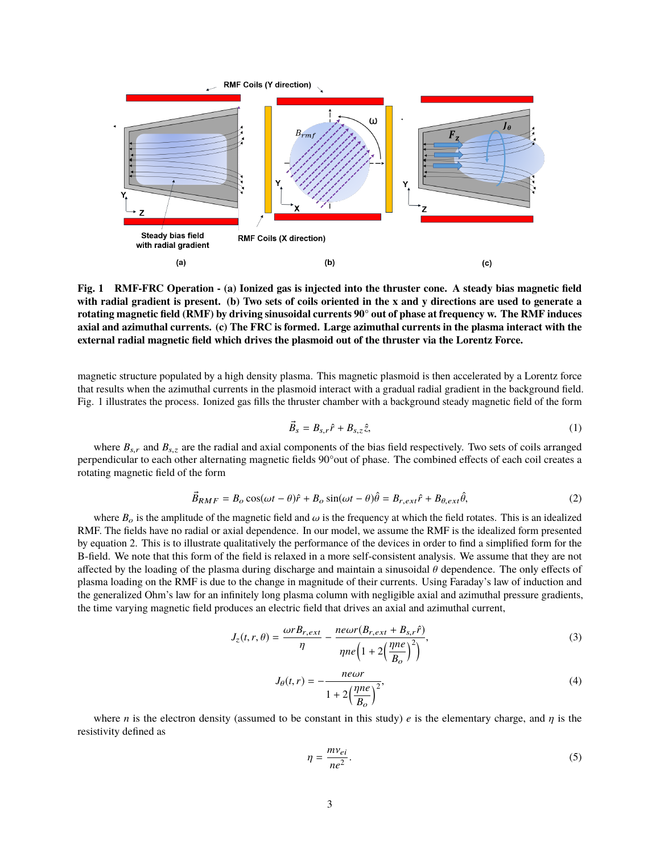

**Fig. 1 RMF-FRC Operation - (a) Ionized gas is injected into the thruster cone. A steady bias magnetic field with radial gradient is present. (b) Two sets of coils oriented in the x and y directions are used to generate a rotating magnetic field (RMF) by driving sinusoidal currents 90° out of phase at frequency w. The RMF induces axial and azimuthal currents. (c) The FRC is formed. Large azimuthal currents in the plasma interact with the external radial magnetic field which drives the plasmoid out of the thruster via the Lorentz Force.**

magnetic structure populated by a high density plasma. This magnetic plasmoid is then accelerated by a Lorentz force that results when the azimuthal currents in the plasmoid interact with a gradual radial gradient in the background field. Fig. 1 illustrates the process. Ionized gas fills the thruster chamber with a background steady magnetic field of the form

$$
\vec{B}_s = B_{s,r}\hat{r} + B_{s,z}\hat{z},\tag{1}
$$

where  $B_{s,r}$  and  $B_{s,z}$  are the radial and axial components of the bias field respectively. Two sets of coils arranged perpendicular to each other alternating magnetic fields 90°out of phase. The combined effects of each coil creates a rotating magnetic field of the form

$$
\vec{B}_{RMF} = B_o \cos(\omega t - \theta)\hat{r} + B_o \sin(\omega t - \theta)\hat{\theta} = B_{r,ext}\hat{r} + B_{\theta,ext}\hat{\theta},\tag{2}
$$

where  $B_0$  is the amplitude of the magnetic field and  $\omega$  is the frequency at which the field rotates. This is an idealized RMF. The fields have no radial or axial dependence. In our model, we assume the RMF is the idealized form presented by equation 2. This is to illustrate qualitatively the performance of the devices in order to find a simplified form for the B-field. We note that this form of the field is relaxed in a more self-consistent analysis. We assume that they are not affected by the loading of the plasma during discharge and maintain a sinusoidal θ dependence. The only effects of plasma loading on the RMF is due to the change in magnitude of their currents. Using Faraday's law of induction and the generalized Ohm's law for an infinitely long plasma column with negligible axial and azimuthal pressure gradients, the time varying magnetic field produces an electric field that drives an axial and azimuthal current,

$$
J_z(t, r, \theta) = \frac{\omega r B_{r, ext}}{\eta} - \frac{ne\omega r (B_{r, ext} + B_{s, r} \hat{r})}{\eta n e \left(1 + 2\left(\frac{\eta n e}{B_o}\right)^2\right)},
$$
(3)

$$
J_{\theta}(t,r) = -\frac{ne\omega r}{1 + 2\left(\frac{\eta ne}{B_o}\right)^2},\tag{4}
$$

where *n* is the electron density (assumed to be constant in this study) *e* is the elementary charge, and  $\eta$  is the resistivity defined as

$$
\eta = \frac{m v_{ei}}{ne^2}.\tag{5}
$$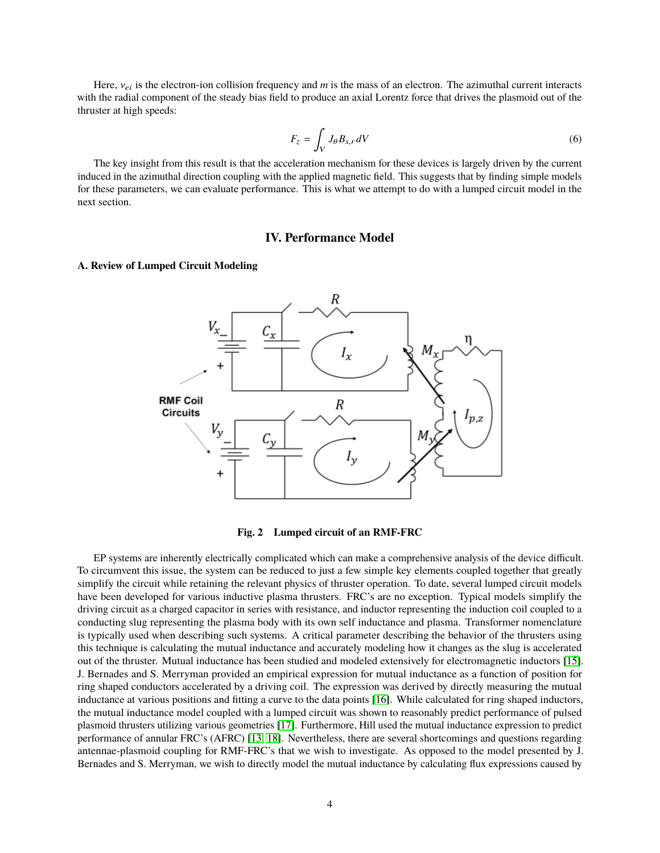Here,  $v_{ei}$  is the electron-ion collision frequency and *m* is the mass of an electron. The azimuthal current interacts with the radial component of the steady bias field to produce an axial Lorentz force that drives the plasmoid out of the thruster at high speeds:

$$
F_z = \int_V J_\theta B_{s,r} dV \tag{6}
$$

The key insight from this result is that the acceleration mechanism for these devices is largely driven by the current induced in the azimuthal direction coupling with the applied magnetic field. This suggests that by finding simple models for these parameters, we can evaluate performance. This is what we attempt to do with a lumped circuit model in the next section.

## **IV. Performance Model**

### **A. Review of Lumped Circuit Modeling**





EP systems are inherently electrically complicated which can make a comprehensive analysis of the device difficult. To circumvent this issue, the system can be reduced to just a few simple key elements coupled together that greatly simplify the circuit while retaining the relevant physics of thruster operation. To date, several lumped circuit models have been developed for various inductive plasma thrusters. FRC's are no exception. Typical models simplify the driving circuit as a charged capacitor in series with resistance, and inductor representing the induction coil coupled to a conducting slug representing the plasma body with its own self inductance and plasma. Transformer nomenclature is typically used when describing such systems. A critical parameter describing the behavior of the thrusters using this technique is calculating the mutual inductance and accurately modeling how it changes as the slug is accelerated out of the thruster. Mutual inductance has been studied and modeled extensively for electromagnetic inductors [\[15\]](#page-10-10). J. Bernades and S. Merryman provided an empirical expression for mutual inductance as a function of position for ring shaped conductors accelerated by a driving coil. The expression was derived by directly measuring the mutual inductance at various positions and fitting a curve to the data points [\[16\]](#page-10-11). While calculated for ring shaped inductors, the mutual inductance model coupled with a lumped circuit was shown to reasonably predict performance of pulsed plasmoid thrusters utilizing various geometries [\[17\]](#page-10-12). Furthermore, Hill used the mutual inductance expression to predict performance of annular FRC's (AFRC) [\[13,](#page-10-13) [18\]](#page-10-14). Nevertheless, there are several shortcomings and questions regarding antennae-plasmoid coupling for RMF-FRC's that we wish to investigate. As opposed to the model presented by J. Bernades and S. Merryman, we wish to directly model the mutual inductance by calculating flux expressions caused by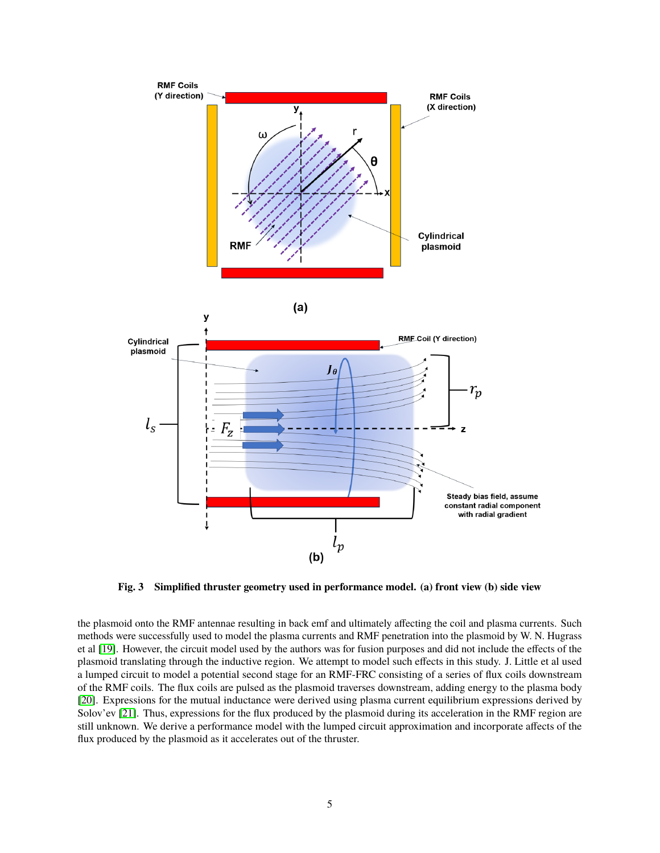

**Fig. 3 Simplified thruster geometry used in performance model. (a) front view (b) side view**

the plasmoid onto the RMF antennae resulting in back emf and ultimately affecting the coil and plasma currents. Such methods were successfully used to model the plasma currents and RMF penetration into the plasmoid by W. N. Hugrass et al [\[19\]](#page-10-15). However, the circuit model used by the authors was for fusion purposes and did not include the effects of the plasmoid translating through the inductive region. We attempt to model such effects in this study. J. Little et al used a lumped circuit to model a potential second stage for an RMF-FRC consisting of a series of flux coils downstream of the RMF coils. The flux coils are pulsed as the plasmoid traverses downstream, adding energy to the plasma body [\[20\]](#page-10-16). Expressions for the mutual inductance were derived using plasma current equilibrium expressions derived by Solov'ev [\[21\]](#page-10-17). Thus, expressions for the flux produced by the plasmoid during its acceleration in the RMF region are still unknown. We derive a performance model with the lumped circuit approximation and incorporate affects of the flux produced by the plasmoid as it accelerates out of the thruster.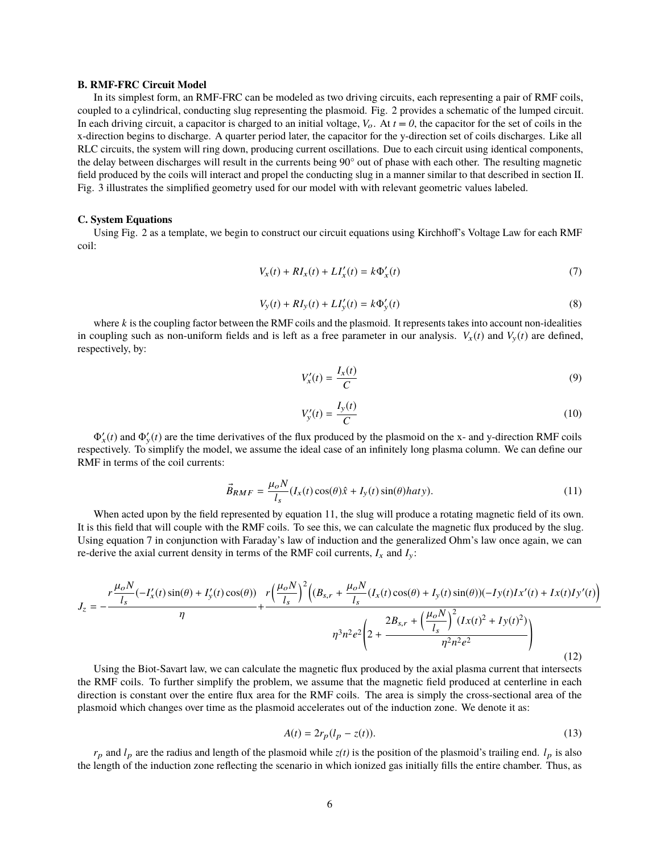#### **B. RMF-FRC Circuit Model**

In its simplest form, an RMF-FRC can be modeled as two driving circuits, each representing a pair of RMF coils, coupled to a cylindrical, conducting slug representing the plasmoid. Fig. 2 provides a schematic of the lumped circuit. In each driving circuit, a capacitor is charged to an initial voltage,  $V_o$ . At  $t = 0$ , the capacitor for the set of coils in the x-direction begins to discharge. A quarter period later, the capacitor for the y-direction set of coils discharges. Like all RLC circuits, the system will ring down, producing current oscillations. Due to each circuit using identical components, the delay between discharges will result in the currents being 90° out of phase with each other. The resulting magnetic field produced by the coils will interact and propel the conducting slug in a manner similar to that described in section II. Fig. 3 illustrates the simplified geometry used for our model with with relevant geometric values labeled.

#### **C. System Equations**

Using Fig. 2 as a template, we begin to construct our circuit equations using Kirchhoff's Voltage Law for each RMF coil:

$$
V_x(t) + RI_x(t) + LI'_x(t) = k\Phi'_x(t)
$$
\n(7)

$$
V_{y}(t) + RI_{y}(t) + LI'_{y}(t) = k\Phi'_{y}(t)
$$
\n(8)

where *k* is the coupling factor between the RMF coils and the plasmoid. It represents takes into account non-idealities in coupling such as non-uniform fields and is left as a free parameter in our analysis.  $V_x(t)$  and  $V_y(t)$  are defined, respectively, by:

$$
V'_x(t) = \frac{I_x(t)}{C} \tag{9}
$$

$$
V'_{y}(t) = \frac{I_{y}(t)}{C}
$$
\n<sup>(10)</sup>

 $\Phi'_x(t)$  and  $\Phi'_y(t)$  are the time derivatives of the flux produced by the plasmoid on the x- and y-direction RMF coils respectively. To simplify the model, we assume the ideal case of an infinitely long plasma column. We can define our RMF in terms of the coil currents:

$$
\vec{B}_{RMF} = \frac{\mu_o N}{l_s} (I_x(t) \cos(\theta) \hat{x} + I_y(t) \sin(\theta) haty).
$$
\n(11)

When acted upon by the field represented by equation 11, the slug will produce a rotating magnetic field of its own. It is this field that will couple with the RMF coils. To see this, we can calculate the magnetic flux produced by the slug. Using equation 7 in conjunction with Faraday's law of induction and the generalized Ohm's law once again, we can re-derive the axial current density in terms of the RMF coil currents,  $I_x$  and  $I_y$ :

$$
J_{z} = -\frac{r\frac{\mu_{o}N}{l_{s}}(-I_{x}'(t)\sin(\theta) + I_{y}'(t)\cos(\theta))}{\eta} + \frac{r\left(\frac{\mu_{o}N}{l_{s}}\right)^{2}\left((B_{s,r} + \frac{\mu_{o}N}{l_{s}}(I_{x}(t)\cos(\theta) + I_{y}(t)\sin(\theta))(-I_{y}(t)Ix'(t) + I_{x}(t)I_{y}'(t)\right)}{l_{s}^{3}n^{2}e^{2}\left(2 + \frac{2B_{s,r} + \left(\frac{\mu_{o}N}{l_{s}}\right)^{2}(Ix(t)^{2} + I_{y}(t)^{2})}{\eta^{2}n^{2}e^{2}}\right)}
$$
(12)

Using the Biot-Savart law, we can calculate the magnetic flux produced by the axial plasma current that intersects the RMF coils. To further simplify the problem, we assume that the magnetic field produced at centerline in each direction is constant over the entire flux area for the RMF coils. The area is simply the cross-sectional area of the plasmoid which changes over time as the plasmoid accelerates out of the induction zone. We denote it as:

$$
A(t) = 2r_p(l_p - z(t)).
$$
\n(13)

 $r_p$  and  $l_p$  are the radius and length of the plasmoid while  $z(t)$  is the position of the plasmoid's trailing end.  $l_p$  is also the length of the induction zone reflecting the scenario in which ionized gas initially fills the entire chamber. Thus, as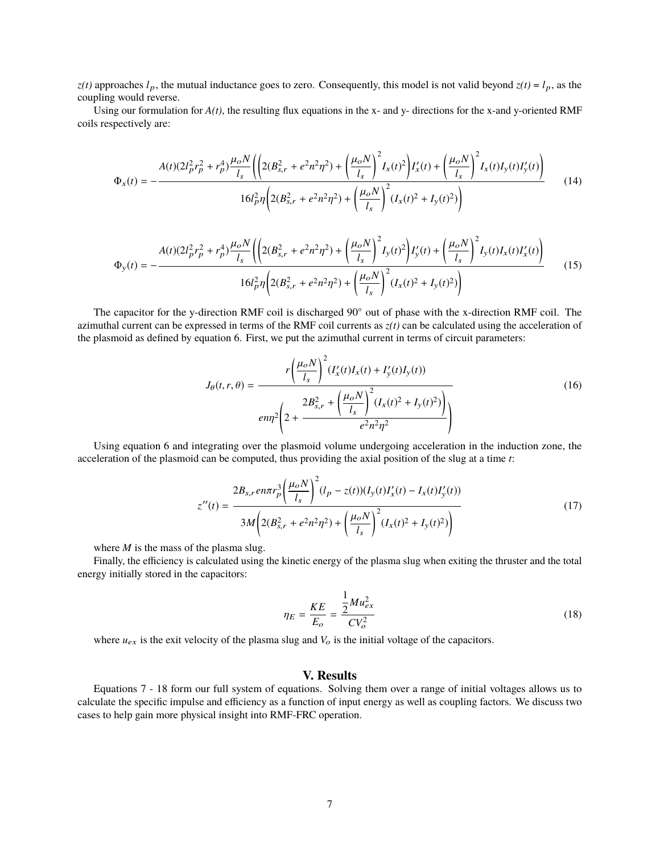$z(t)$  approaches  $l_p$ , the mutual inductance goes to zero. Consequently, this model is not valid beyond  $z(t) = l_p$ , as the coupling would reverse.

Using our formulation for  $A(t)$ , the resulting flux equations in the x- and y- directions for the x-and y-oriented RMF coils respectively are:

$$
\Phi_x(t) = -\frac{A(t)(2l_p^2r_p^2 + r_p^4)\frac{\mu_o N}{l_s} \left( \left( 2(B_{s,r}^2 + e^2n^2\eta^2) + \left( \frac{\mu_o N}{l_s} \right)^2 I_x(t)^2 \right) I'_x(t) + \left( \frac{\mu_o N}{l_s} \right)^2 I_x(t)I_y(t)I'_y(t) \right)}{16l_p^2 \eta \left( 2(B_{s,r}^2 + e^2n^2\eta^2) + \left( \frac{\mu_o N}{l_s} \right)^2 (I_x(t)^2 + I_y(t)^2) \right)}
$$
(14)

$$
\Phi_{y}(t) = -\frac{A(t)(2l_{p}^{2}r_{p}^{2} + r_{p}^{4})\frac{\mu_{o}N}{l_{s}}\left(\left(2(B_{s,r}^{2} + e^{2}n^{2}\eta^{2}) + \left(\frac{\mu_{o}N}{l_{s}}\right)^{2}I_{y}(t)^{2}\right)I_{y}'(t) + \left(\frac{\mu_{o}N}{l_{s}}\right)^{2}I_{y}(t)I_{x}(t)I_{x}'(t)\right)}{16l_{p}^{2}\eta\left(2(B_{s,r}^{2} + e^{2}n^{2}\eta^{2}) + \left(\frac{\mu_{o}N}{l_{s}}\right)^{2}\left(I_{x}(t)^{2} + I_{y}(t)^{2}\right)\right)}
$$
(15)

The capacitor for the y-direction RMF coil is discharged 90◦ out of phase with the x-direction RMF coil. The azimuthal current can be expressed in terms of the RMF coil currents as  $z(t)$  can be calculated using the acceleration of the plasmoid as defined by equation 6. First, we put the azimuthal current in terms of circuit parameters:

$$
J_{\theta}(t,r,\theta) = \frac{r\left(\frac{\mu_o N}{l_s}\right)^2 (I_x'(t)I_x(t) + I_y'(t)I_y(t))}{\text{env}^2 \left(2 + \frac{2B_{s,r}^2 + \left(\frac{\mu_o N}{l_s}\right)^2 (I_x(t)^2 + I_y(t)^2)\right)}{e^2 n^2 \eta^2}\n \tag{16}
$$

Using equation 6 and integrating over the plasmoid volume undergoing acceleration in the induction zone, the acceleration of the plasmoid can be computed, thus providing the axial position of the slug at a time *t*:

$$
z''(t) = \frac{2B_{s,r}en\pi r_p^3 \left(\frac{\mu_o N}{l_s}\right)^2 (l_p - z(t))(I_y(t)I'_x(t) - I_x(t)I'_y(t))}{3M \left(2(B_{s,r}^2 + e^2n^2\eta^2) + \left(\frac{\mu_o N}{l_s}\right)^2 (I_x(t)^2 + I_y(t)^2)\right)}
$$
(17)

where *M* is the mass of the plasma slug.

Finally, the efficiency is calculated using the kinetic energy of the plasma slug when exiting the thruster and the total energy initially stored in the capacitors:

$$
\eta_E = \frac{KE}{E_o} = \frac{\frac{1}{2}Mu_{ex}^2}{CV_o^2}
$$
\n(18)

where  $u_{ex}$  is the exit velocity of the plasma slug and  $V_o$  is the initial voltage of the capacitors.

## **V. Results**

Equations 7 - 18 form our full system of equations. Solving them over a range of initial voltages allows us to calculate the specific impulse and efficiency as a function of input energy as well as coupling factors. We discuss two cases to help gain more physical insight into RMF-FRC operation.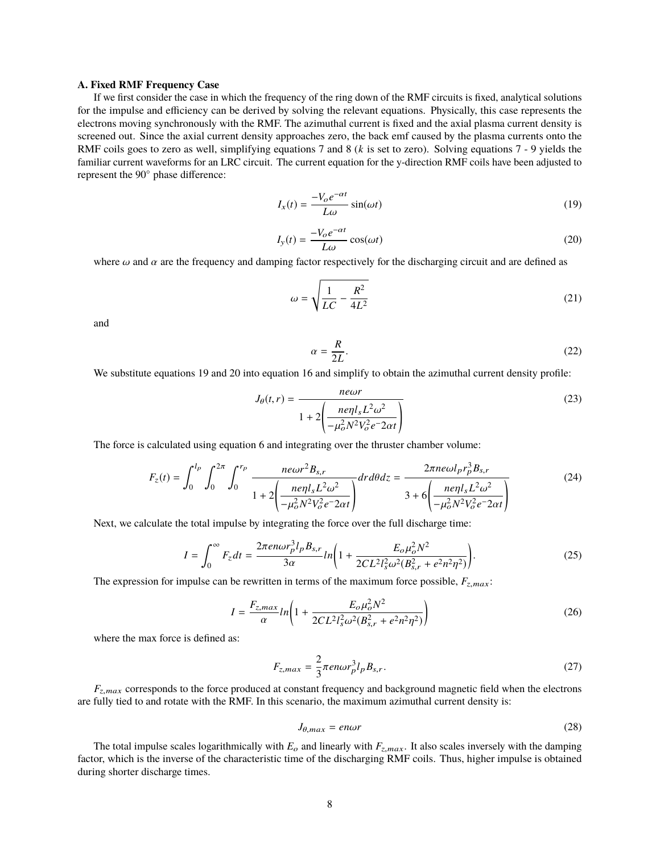#### **A. Fixed RMF Frequency Case**

If we first consider the case in which the frequency of the ring down of the RMF circuits is fixed, analytical solutions for the impulse and efficiency can be derived by solving the relevant equations. Physically, this case represents the electrons moving synchronously with the RMF. The azimuthal current is fixed and the axial plasma current density is screened out. Since the axial current density approaches zero, the back emf caused by the plasma currents onto the RMF coils goes to zero as well, simplifying equations 7 and 8 (*k* is set to zero). Solving equations 7 - 9 yields the familiar current waveforms for an LRC circuit. The current equation for the y-direction RMF coils have been adjusted to represent the 90◦ phase difference:

$$
I_x(t) = \frac{-V_o e^{-\alpha t}}{L\omega} \sin(\omega t)
$$
 (19)

$$
I_{y}(t) = \frac{-V_{o}e^{-\alpha t}}{L\omega}\cos(\omega t)
$$
 (20)

where  $\omega$  and  $\alpha$  are the frequency and damping factor respectively for the discharging circuit and are defined as

$$
\omega = \sqrt{\frac{1}{LC} - \frac{R^2}{4L^2}}
$$
\n(21)

and

$$
\alpha = \frac{R}{2L}.\tag{22}
$$

We substitute equations 19 and 20 into equation 16 and simplify to obtain the azimuthal current density profile:

$$
J_{\theta}(t,r) = \frac{newr}{1 + 2\left(\frac{ne\eta l_s L^2 \omega^2}{-\mu_o^2 N^2 V_o^2 e^{-2\alpha t}}\right)}
$$
(23)

The force is calculated using equation 6 and integrating over the thruster chamber volume:

$$
F_z(t) = \int_0^{l_p} \int_0^{2\pi} \int_0^{r_p} \frac{n e\omega r^2 B_{s,r}}{1 + 2\left(\frac{n e\eta l_s L^2 \omega^2}{-\mu_o^2 N^2 V_o^2 e^{-2\alpha t}}\right)} dr d\theta dz = \frac{2\pi n e\omega l_p r_p^3 B_{s,r}}{3 + 6\left(\frac{n e\eta l_s L^2 \omega^2}{-\mu_o^2 N^2 V_o^2 e^{-2\alpha t}}\right)}
$$
(24)

Next, we calculate the total impulse by integrating the force over the full discharge time:

$$
I = \int_0^\infty F_z dt = \frac{2\pi e n \omega r_p^3 l_p B_{s,r}}{3\alpha} ln\left(1 + \frac{E_o \mu_o^2 N^2}{2CL^2 l_s^2 \omega^2 (B_{s,r}^2 + e^2 n^2 \eta^2)}\right).
$$
 (25)

The expression for impulse can be rewritten in terms of the maximum force possible,  $F_{z,max}$ :

$$
I = \frac{F_{z,max}}{\alpha} ln \left( 1 + \frac{E_o \mu_o^2 N^2}{2CL^2 l_s^2 \omega^2 (B_{s,r}^2 + e^2 n^2 \eta^2)} \right)
$$
(26)

where the max force is defined as:

$$
F_{z,max} = \frac{2}{3}\pi en \omega r_p^3 l_p B_{s,r}.
$$
\n
$$
(27)
$$

*<sup>F</sup>*z,max corresponds to the force produced at constant frequency and background magnetic field when the electrons are fully tied to and rotate with the RMF. In this scenario, the maximum azimuthal current density is:

$$
J_{\theta,max} = e n \omega r \tag{28}
$$

The total impulse scales logarithmically with  $E_o$  and linearly with  $F_{z,max}$ . It also scales inversely with the damping factor, which is the inverse of the characteristic time of the discharging RMF coils. Thus, higher impulse is obtained during shorter discharge times.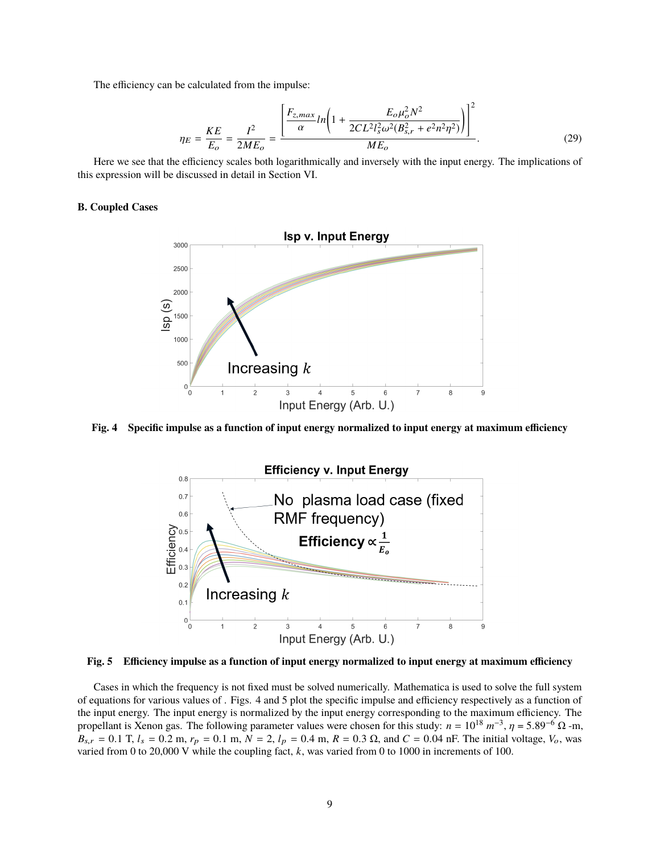The efficiency can be calculated from the impulse:

$$
\eta_E = \frac{KE}{E_o} = \frac{I^2}{2ME_o} = \frac{\left[\frac{F_{z,max}}{\alpha}ln\left(1 + \frac{E_o\mu_o^2 N^2}{2CL^2l_s^2\omega^2(B_{s,r}^2 + e^2n^2\eta^2)}\right)\right]^2}{ME_o}.
$$
\n(29)

Here we see that the efficiency scales both logarithmically and inversely with the input energy. The implications of this expression will be discussed in detail in Section VI.

## **B. Coupled Cases**



**Fig. 4 Specific impulse as a function of input energy normalized to input energy at maximum efficiency**



**Fig. 5 Efficiency impulse as a function of input energy normalized to input energy at maximum efficiency**

Cases in which the frequency is not fixed must be solved numerically. Mathematica is used to solve the full system of equations for various values of . Figs. 4 and 5 plot the specific impulse and efficiency respectively as a function of the input energy. The input energy is normalized by the input energy corresponding to the maximum efficiency. The propellant is Xenon gas. The following parameter values were chosen for this study:  $n = 10^{18} m^{-3}$ ,  $\eta = 5.89^{-6} \Omega$ -m,<br> $R = 0.1$  T  $l = 0.2$  m  $r = 0.1$  m  $N = 2$ ,  $l = 0.4$  m  $R = 0.3$  O and  $C = 0.04$  mF. The initial voltage,  $B_{s,r} = 0.1$  T,  $l_s = 0.2$  m,  $r_p = 0.1$  m,  $N = 2$ ,  $l_p = 0.4$  m,  $R = 0.3$  Ω, and  $C = 0.04$  nF. The initial voltage,  $V_o$ , was varied from 0 to 20,000 V while the coupling fact, *k*, was varied from 0 to 1000 in increments of 100.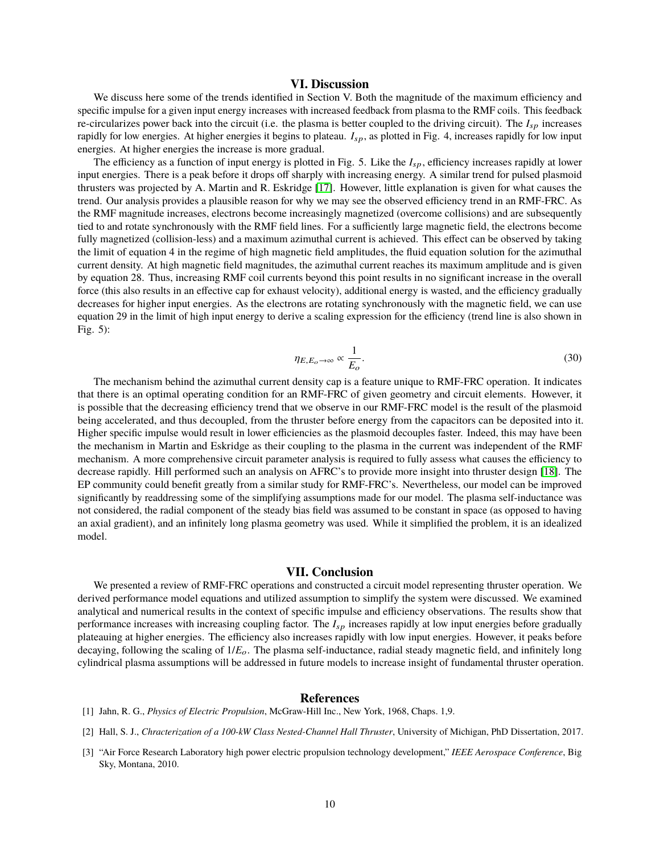## **VI. Discussion**

We discuss here some of the trends identified in Section V. Both the magnitude of the maximum efficiency and specific impulse for a given input energy increases with increased feedback from plasma to the RMF coils. This feedback re-circularizes power back into the circuit (i.e. the plasma is better coupled to the driving circuit). The *I<sub>sp</sub>* increases rapidly for low energies. At higher energies it begins to plateau.  $I_{sp}$ , as plotted in Fig. 4, increases rapidly for low input energies. At higher energies the increase is more gradual.

The efficiency as a function of input energy is plotted in Fig. 5. Like the  $I_{sp}$ , efficiency increases rapidly at lower input energies. There is a peak before it drops off sharply with increasing energy. A similar trend for pulsed plasmoid thrusters was projected by A. Martin and R. Eskridge [\[17\]](#page-10-12). However, little explanation is given for what causes the trend. Our analysis provides a plausible reason for why we may see the observed efficiency trend in an RMF-FRC. As the RMF magnitude increases, electrons become increasingly magnetized (overcome collisions) and are subsequently tied to and rotate synchronously with the RMF field lines. For a sufficiently large magnetic field, the electrons become fully magnetized (collision-less) and a maximum azimuthal current is achieved. This effect can be observed by taking the limit of equation 4 in the regime of high magnetic field amplitudes, the fluid equation solution for the azimuthal current density. At high magnetic field magnitudes, the azimuthal current reaches its maximum amplitude and is given by equation 28. Thus, increasing RMF coil currents beyond this point results in no significant increase in the overall force (this also results in an effective cap for exhaust velocity), additional energy is wasted, and the efficiency gradually decreases for higher input energies. As the electrons are rotating synchronously with the magnetic field, we can use equation 29 in the limit of high input energy to derive a scaling expression for the efficiency (trend line is also shown in Fig. 5):

$$
\eta_{E,E_o \to \infty} \propto \frac{1}{E_o}.\tag{30}
$$

The mechanism behind the azimuthal current density cap is a feature unique to RMF-FRC operation. It indicates that there is an optimal operating condition for an RMF-FRC of given geometry and circuit elements. However, it is possible that the decreasing efficiency trend that we observe in our RMF-FRC model is the result of the plasmoid being accelerated, and thus decoupled, from the thruster before energy from the capacitors can be deposited into it. Higher specific impulse would result in lower efficiencies as the plasmoid decouples faster. Indeed, this may have been the mechanism in Martin and Eskridge as their coupling to the plasma in the current was independent of the RMF mechanism. A more comprehensive circuit parameter analysis is required to fully assess what causes the efficiency to decrease rapidly. Hill performed such an analysis on AFRC's to provide more insight into thruster design [\[18\]](#page-10-14). The EP community could benefit greatly from a similar study for RMF-FRC's. Nevertheless, our model can be improved significantly by readdressing some of the simplifying assumptions made for our model. The plasma self-inductance was not considered, the radial component of the steady bias field was assumed to be constant in space (as opposed to having an axial gradient), and an infinitely long plasma geometry was used. While it simplified the problem, it is an idealized model.

### **VII. Conclusion**

We presented a review of RMF-FRC operations and constructed a circuit model representing thruster operation. We derived performance model equations and utilized assumption to simplify the system were discussed. We examined analytical and numerical results in the context of specific impulse and efficiency observations. The results show that performance increases with increasing coupling factor. The *I*sp increases rapidly at low input energies before gradually plateauing at higher energies. The efficiency also increases rapidly with low input energies. However, it peaks before decaying, following the scaling of 1/*E*o. The plasma self-inductance, radial steady magnetic field, and infinitely long cylindrical plasma assumptions will be addressed in future models to increase insight of fundamental thruster operation.

#### **References**

- <span id="page-9-0"></span>[1] Jahn, R. G., *Physics of Electric Propulsion*, McGraw-Hill Inc., New York, 1968, Chaps. 1,9.
- <span id="page-9-1"></span>[2] Hall, S. J., *Chracterization of a 100-kW Class Nested-Channel Hall Thruster*, University of Michigan, PhD Dissertation, 2017.
- <span id="page-9-2"></span>[3] "Air Force Research Laboratory high power electric propulsion technology development," *IEEE Aerospace Conference*, Big Sky, Montana, 2010.